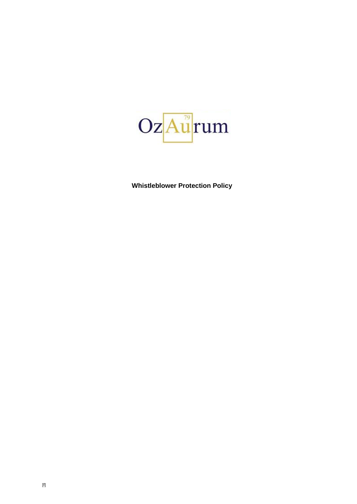

**Whistleblower Protection Policy**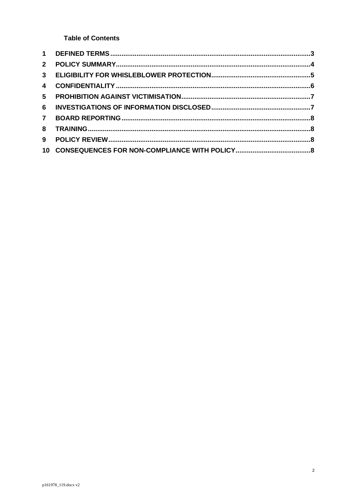**Table of Contents** 

| $2^{\circ}$    |  |
|----------------|--|
| 3 <sup>1</sup> |  |
| $\overline{4}$ |  |
| 5              |  |
| 6              |  |
| $\mathbf{7}$   |  |
| 8              |  |
| 9              |  |
|                |  |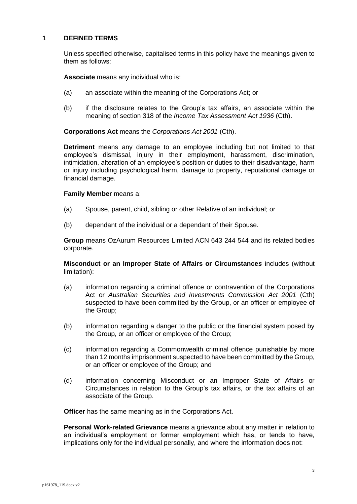## <span id="page-2-0"></span>**1 DEFINED TERMS**

Unless specified otherwise, capitalised terms in this policy have the meanings given to them as follows:

**Associate** means any individual who is:

- (a) an associate within the meaning of the Corporations Act; or
- (b) if the disclosure relates to the Group's tax affairs, an associate within the meaning of section 318 of the *Income Tax Assessment Act 1936* (Cth).

**Corporations Act** means the *Corporations Act 2001* (Cth).

**Detriment** means any damage to an employee including but not limited to that employee's dismissal, injury in their employment, harassment, discrimination, intimidation, alteration of an employee's position or duties to their disadvantage, harm or injury including psychological harm, damage to property, reputational damage or financial damage.

## **Family Member** means a:

- (a) Spouse, parent, child, sibling or other Relative of an individual; or
- (b) dependant of the individual or a dependant of their Spouse*.*

**Group** means OzAurum Resources Limited ACN 643 244 544 and its related bodies corporate.

**Misconduct or an Improper State of Affairs or Circumstance***s* includes (without limitation):

- (a) information regarding a criminal offence or contravention of the Corporations Act or *Australian Securities and Investments Commission Act 2001* (Cth) suspected to have been committed by the Group, or an officer or employee of the Group;
- (b) information regarding a danger to the public or the financial system posed by the Group, or an officer or employee of the Group;
- (c) information regarding a Commonwealth criminal offence punishable by more than 12 months imprisonment suspected to have been committed by the Group, or an officer or employee of the Group; and
- (d) information concerning Misconduct or an Improper State of Affairs or Circumstances in relation to the Group's tax affairs, or the tax affairs of an associate of the Group.

**Officer** has the same meaning as in the Corporations Act.

**Personal Work-related Grievance** means a grievance about any matter in relation to an individual's employment or former employment which has, or tends to have, implications only for the individual personally, and where the information does not: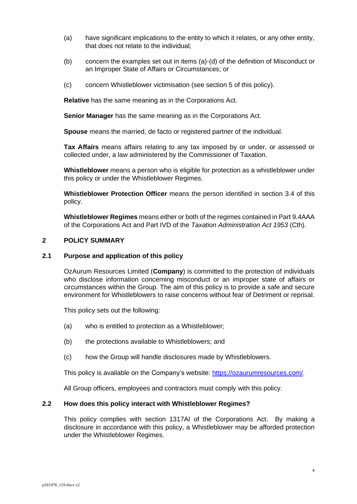- (a) have significant implications to the entity to which it relates, or any other entity, that does not relate to the individual;
- (b) concern the examples set out in items (a)-(d) of the definition of Misconduct or an Improper State of Affairs or Circumstances; or
- (c) concern Whistleblower victimisation (see section [5](#page-6-0) of this policy).

**Relative** has the same meaning as in the Corporations Act.

**Senior Manager** has the same meaning as in the Corporations Act.

**Spouse** means the married, de facto or registered partner of the individual.

**Tax Affairs** means affairs relating to any tax imposed by or under, or assessed or collected under, a law administered by the Commissioner of Taxation.

**Whistleblower** means a person who is eligible for protection as a whistleblower under this policy or under the Whistleblower Regimes.

**Whistleblower Protection Officer** means the person identified in section [3.4](#page-5-1) of this policy.

**Whistleblower Regimes** means either or both of the regimes contained in Part 9.4AAA of the Corporations Act and Part IVD of the *Taxation Administration Act 1953* (Cth).

## <span id="page-3-0"></span>**2 POLICY SUMMARY**

#### **2.1 Purpose and application of this policy**

OzAurum Resources Limited (**Company**) is committed to the protection of individuals who disclose information concerning misconduct or an improper state of affairs or circumstances within the Group. The aim of this policy is to provide a safe and secure environment for Whistleblowers to raise concerns without fear of Detriment or reprisal.

This policy sets out the following:

- (a) who is entitled to protection as a Whistleblower;
- (b) the protections available to Whistleblowers; and
- (c) how the Group will handle disclosures made by Whistleblowers.

This policy is available on the Company's website: [https://ozaurumresources.com/.](https://ozaurumresources.com/)

All Group officers, employees and contractors must comply with this policy.

#### **2.2 How does this policy interact with Whistleblower Regimes?**

This policy complies with section 1317AI of the Corporations Act. By making a disclosure in accordance with this policy, a Whistleblower may be afforded protection under the Whistleblower Regimes.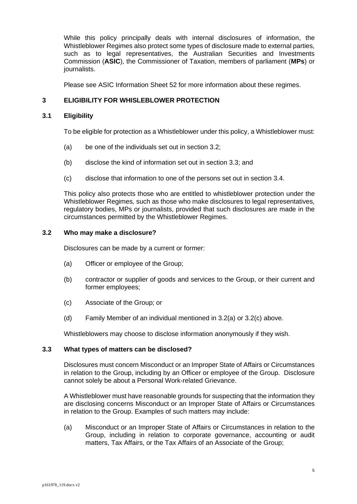While this policy principally deals with internal disclosures of information, the Whistleblower Regimes also protect some types of disclosure made to external parties, such as to legal representatives, the Australian Securities and Investments Commission (**ASIC**), the Commissioner of Taxation, members of parliament (**MPs**) or journalists.

Please see ASIC Information Sheet 52 for more information about these regimes.

# <span id="page-4-0"></span>**3 ELIGIBILITY FOR WHISLEBLOWER PROTECTION**

# **3.1 Eligibility**

To be eligible for protection as a Whistleblower under this policy, a Whistleblower must:

- (a) be one of the individuals set out in section [3.2;](#page-4-1)
- (b) disclose the kind of information set out in section [3.3;](#page-4-2) and
- (c) disclose that information to one of the persons set out in section [3.4.](#page-5-1)

This policy also protects those who are entitled to whistleblower protection under the Whistleblower Regimes*,* such as those who make disclosures to legal representatives, regulatory bodies, MPs or journalists, provided that such disclosures are made in the circumstances permitted by the Whistleblower Regimes.

## <span id="page-4-1"></span>**3.2 Who may make a disclosure?**

Disclosures can be made by a current or former:

- <span id="page-4-3"></span>(a) Officer or employee of the Group;
- (b) contractor or supplier of goods and services to the Group, or their current and former employees;
- <span id="page-4-4"></span>(c) Associate of the Group; or
- (d) Family Member of an individual mentioned in [3.2\(a\)](#page-4-3) or [3.2\(c\)](#page-4-4) above.

Whistleblowers may choose to disclose information anonymously if they wish.

#### <span id="page-4-2"></span>**3.3 What types of matters can be disclosed?**

Disclosures must concern Misconduct or an Improper State of Affairs or Circumstances in relation to the Group, including by an Officer or employee of the Group. Disclosure cannot solely be about a Personal Work-related Grievance.

A Whistleblower must have reasonable grounds for suspecting that the information they are disclosing concerns Misconduct or an Improper State of Affairs or Circumstances in relation to the Group. Examples of such matters may include:

(a) Misconduct or an Improper State of Affairs or Circumstances in relation to the Group, including in relation to corporate governance, accounting or audit matters, Tax Affairs, or the Tax Affairs of an Associate of the Group;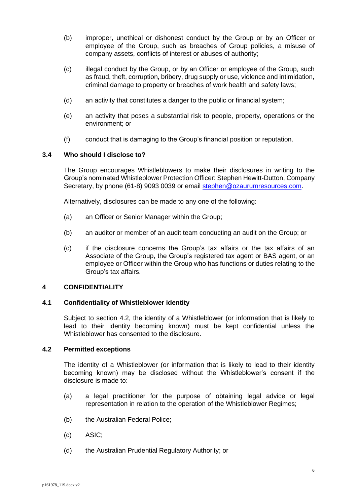- (b) improper, unethical or dishonest conduct by the Group or by an Officer or employee of the Group, such as breaches of Group policies, a misuse of company assets, conflicts of interest or abuses of authority;
- (c) illegal conduct by the Group, or by an Officer or employee of the Group, such as fraud, theft, corruption, bribery, drug supply or use, violence and intimidation, criminal damage to property or breaches of work health and safety laws;
- (d) an activity that constitutes a danger to the public or financial system;
- (e) an activity that poses a substantial risk to people, property, operations or the environment; or
- (f) conduct that is damaging to the Group's financial position or reputation.

## <span id="page-5-1"></span>**3.4 Who should I disclose to?**

The Group encourages Whistleblowers to make their disclosures in writing to the Group's nominated Whistleblower Protection Officer: Stephen Hewitt-Dutton, Company Secretary, by phone (61-8) 9093 0039 or email [stephen@ozaurumresources.com.](mailto:stephen@ozaurumresources.com)

Alternatively, disclosures can be made to any one of the following:

- (a) an Officer or Senior Manager within the Group;
- (b) an auditor or member of an audit team conducting an audit on the Group; or
- (c) if the disclosure concerns the Group's tax affairs or the tax affairs of an Associate of the Group, the Group's registered tax agent or BAS agent, or an employee or Officer within the Group who has functions or duties relating to the Group's tax affairs.

# <span id="page-5-0"></span>**4 CONFIDENTIALITY**

#### **4.1 Confidentiality of Whistleblower identity**

Subject to section [4.2,](#page-5-2) the identity of a Whistleblower (or information that is likely to lead to their identity becoming known) must be kept confidential unless the Whistleblower has consented to the disclosure.

#### <span id="page-5-2"></span>**4.2 Permitted exceptions**

The identity of a Whistleblower (or information that is likely to lead to their identity becoming known) may be disclosed without the Whistleblower's consent if the disclosure is made to:

- (a) a legal practitioner for the purpose of obtaining legal advice or legal representation in relation to the operation of the Whistleblower Regimes;
- (b) the Australian Federal Police;
- (c) ASIC;
- (d) the Australian Prudential Regulatory Authority; or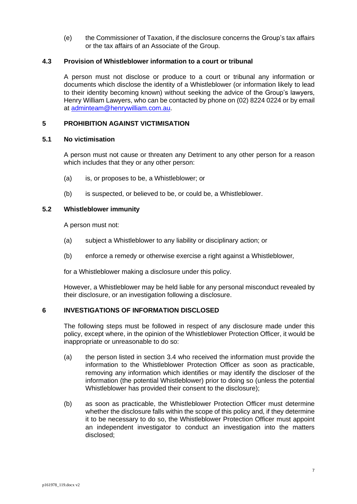(e) the Commissioner of Taxation, if the disclosure concerns the Group's tax affairs or the tax affairs of an Associate of the Group.

## **4.3 Provision of Whistleblower information to a court or tribunal**

A person must not disclose or produce to a court or tribunal any information or documents which disclose the identity of a Whistleblower (or information likely to lead to their identity becoming known) without seeking the advice of the Group's lawyers, Henry William Lawyers, who can be contacted by phone on (02) 8224 0224 or by email at [adminteam@henrywilliam.com.au.](mailto:adminteam@henrywilliam.com.au)

## <span id="page-6-0"></span>**5 PROHIBITION AGAINST VICTIMISATION**

#### **5.1 No victimisation**

A person must not cause or threaten any Detriment to any other person for a reason which includes that they or any other person:

- (a) is, or proposes to be, a Whistleblower; or
- (b) is suspected, or believed to be, or could be, a Whistleblower.

# **5.2 Whistleblower immunity**

A person must not:

- (a) subject a Whistleblower to any liability or disciplinary action; or
- (b) enforce a remedy or otherwise exercise a right against a Whistleblower*,*

for a Whistleblower making a disclosure under this policy.

However, a Whistleblower may be held liable for any personal misconduct revealed by their disclosure, or an investigation following a disclosure.

# <span id="page-6-1"></span>**6 INVESTIGATIONS OF INFORMATION DISCLOSED**

The following steps must be followed in respect of any disclosure made under this policy, except where, in the opinion of the Whistleblower Protection Officer, it would be inappropriate or unreasonable to do so:

- (a) the person listed in section [3.4](#page-5-1) who received the information must provide the information to the Whistleblower Protection Officer as soon as practicable, removing any information which identifies or may identify the discloser of the information (the potential Whistleblower) prior to doing so (unless the potential Whistleblower has provided their consent to the disclosure);
- (b) as soon as practicable, the Whistleblower Protection Officer must determine whether the disclosure falls within the scope of this policy and, if they determine it to be necessary to do so, the Whistleblower Protection Officer must appoint an independent investigator to conduct an investigation into the matters disclosed;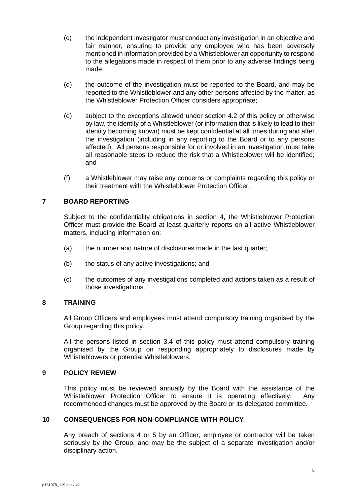- (c) the independent investigator must conduct any investigation in an objective and fair manner, ensuring to provide any employee who has been adversely mentioned in information provided by a Whistleblower an opportunity to respond to the allegations made in respect of them prior to any adverse findings being made;
- (d) the outcome of the investigation must be reported to the Board, and may be reported to the Whistleblower and any other persons affected by the matter, as the Whistleblower Protection Officer considers appropriate;
- (e) subject to the exceptions allowed under section [4.2](#page-5-2) of this policy or otherwise by law, the identity of a Whistleblower (or information that is likely to lead to their identity becoming known) must be kept confidential at all times during and after the investigation (including in any reporting to the Board or to any persons affected). All persons responsible for or involved in an investigation must take all reasonable steps to reduce the risk that a Whistleblower will be identified; and
- (f) a Whistleblower may raise any concerns or complaints regarding this policy or their treatment with the Whistleblower Protection Officer.

# <span id="page-7-0"></span>**7 BOARD REPORTING**

Subject to the confidentiality obligations in section [4,](#page-5-0) the Whistleblower Protection Officer must provide the Board at least quarterly reports on all active Whistleblower matters, including information on:

- (a) the number and nature of disclosures made in the last quarter;
- (b) the status of any active investigations; and
- (c) the outcomes of any investigations completed and actions taken as a result of those investigations.

# <span id="page-7-1"></span>**8 TRAINING**

All Group Officers and employees must attend compulsory training organised by the Group regarding this policy.

All the persons listed in section [3.4](#page-5-1) of this policy must attend compulsory training organised by the Group on responding appropriately to disclosures made by Whistleblowers or potential Whistleblowers.

## <span id="page-7-2"></span>**9 POLICY REVIEW**

This policy must be reviewed annually by the Board with the assistance of the Whistleblower Protection Officer to ensure it is operating effectively. Any recommended changes must be approved by the Board or its delegated committee.

# <span id="page-7-3"></span>**10 CONSEQUENCES FOR NON-COMPLIANCE WITH POLICY**

Any breach of sections [4](#page-5-0) or [5](#page-6-0) by an Officer*,* employee or contractor will be taken seriously by the Group, and may be the subject of a separate investigation and/or disciplinary action.